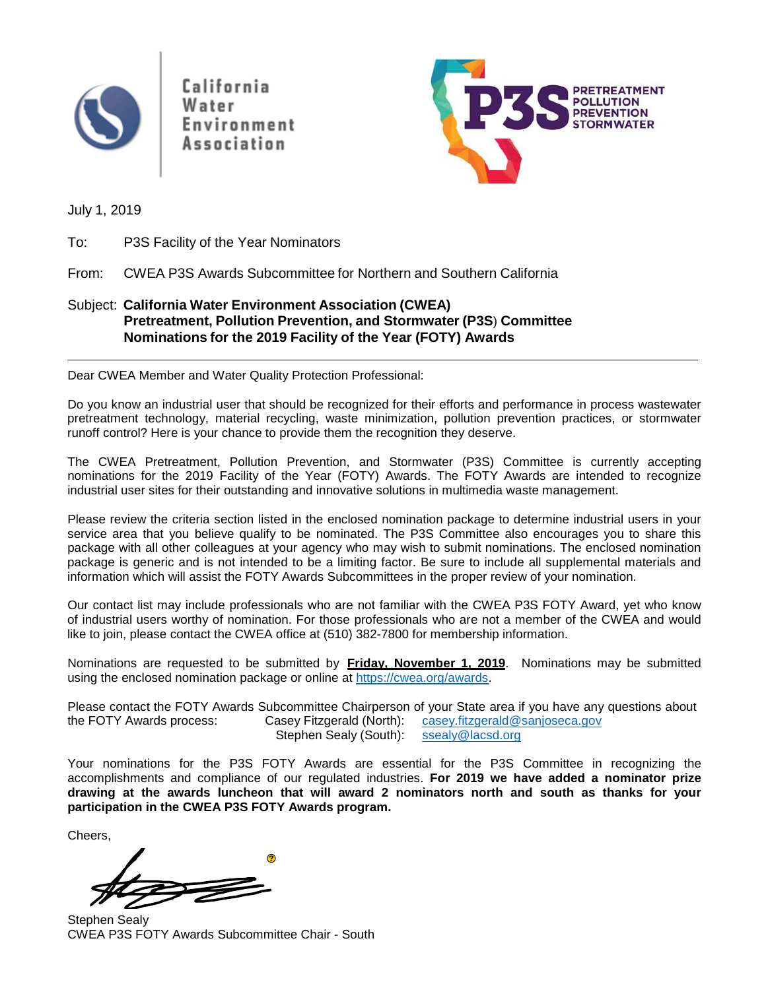

California Water Environment Association



July 1, 2019

To: P3S Facility of the Year Nominators

From: CWEA P3S Awards Subcommittee for Northern and Southern California

### Subject: **California Water Environment Association (CWEA) Pretreatment, Pollution Prevention, and Stormwater (P3S**) **Committee Nominations for the 2019 Facility of the Year (FOTY) Awards**

Dear CWEA Member and Water Quality Protection Professional:

Do you know an industrial user that should be recognized for their efforts and performance in process wastewater pretreatment technology, material recycling, waste minimization, pollution prevention practices, or stormwater runoff control? Here is your chance to provide them the recognition they deserve.

The CWEA Pretreatment, Pollution Prevention, and Stormwater (P3S) Committee is currently accepting nominations for the 2019 Facility of the Year (FOTY) Awards. The FOTY Awards are intended to recognize industrial user sites for their outstanding and innovative solutions in multimedia waste management.

Please review the criteria section listed in the enclosed nomination package to determine industrial users in your service area that you believe qualify to be nominated. The P3S Committee also encourages you to share this package with all other colleagues at your agency who may wish to submit nominations. The enclosed nomination package is generic and is not intended to be a limiting factor. Be sure to include all supplemental materials and information which will assist the FOTY Awards Subcommittees in the proper review of your nomination.

Our contact list may include professionals who are not familiar with the CWEA P3S FOTY Award, yet who know of industrial users worthy of nomination. For those professionals who are not a member of the CWEA and would like to join, please contact the CWEA office at (510) 382-7800 for membership information.

Nominations are requested to be submitted by **Friday, November 1, 2019**. Nominations may be submitted using the enclosed nomination package or online at https://cwea.org/awards.

Please contact the FOTY Awards Subcommittee Chairperson of your State area if you have any questions about the FOTY Awards process: Casey Fitzgerald (North): casey fitzgerald@sanjoseca.gov Casey Fitzgerald (North): [casey.fitzgerald@sanjoseca.gov](mailto:casey.fitzgerald@sanjoseca.gov) Stephen Sealy (South): [ssealy@lacsd.org](mailto:ssealy@lacsd.org)

Your nominations for the P3S FOTY Awards are essential for the P3S Committee in recognizing the accomplishments and compliance of our regulated industries. **For 2019 we have added a nominator prize drawing at the awards luncheon that will award 2 nominators north and south as thanks for your participation in the CWEA P3S FOTY Awards program.**

Cheers,



Stephen Sealy CWEA P3S FOTY Awards Subcommittee Chair - South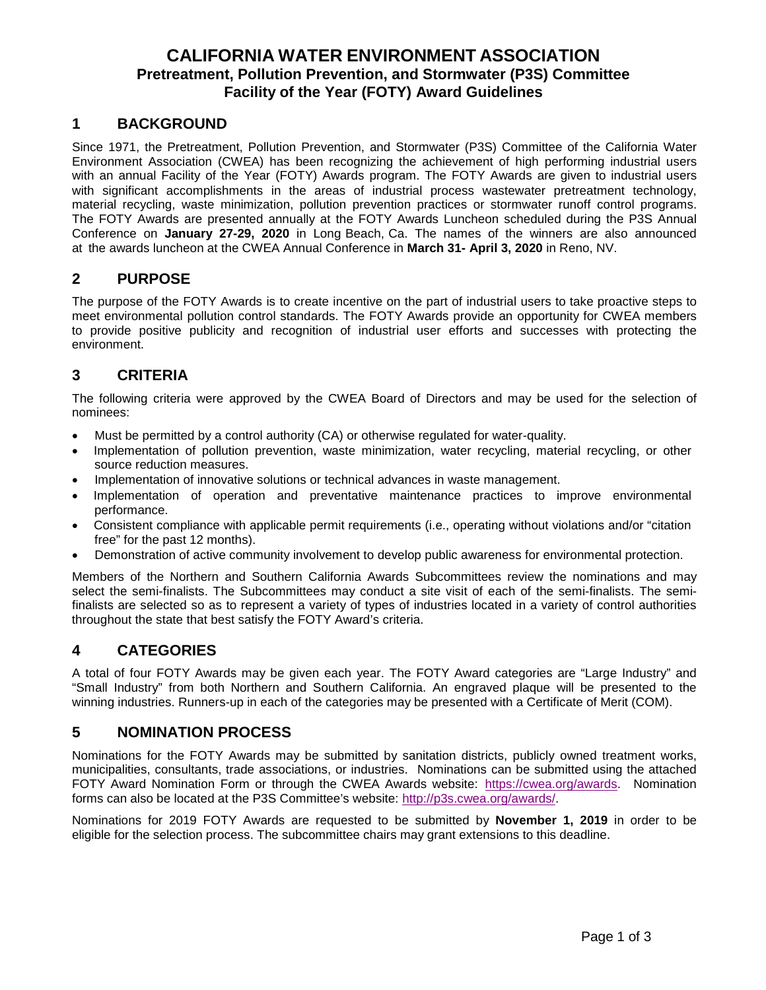## **CALIFORNIA WATER ENVIRONMENT ASSOCIATION Pretreatment, Pollution Prevention, and Stormwater (P3S) Committee Facility of the Year (FOTY) Award Guidelines**

### **1 BACKGROUND**

Since 1971, the Pretreatment, Pollution Prevention, and Stormwater (P3S) Committee of the California Water Environment Association (CWEA) has been recognizing the achievement of high performing industrial users with an annual Facility of the Year (FOTY) Awards program. The FOTY Awards are given to industrial users with significant accomplishments in the areas of industrial process wastewater pretreatment technology, material recycling, waste minimization, pollution prevention practices or stormwater runoff control programs. The FOTY Awards are presented annually at the FOTY Awards Luncheon scheduled during the P3S Annual Conference on **January 27-29, 2020** in Long Beach, Ca. The names of the winners are also announced at the awards luncheon at the CWEA Annual Conference in **March 31- April 3, 2020** in Reno, NV.

### **2 PURPOSE**

The purpose of the FOTY Awards is to create incentive on the part of industrial users to take proactive steps to meet environmental pollution control standards. The FOTY Awards provide an opportunity for CWEA members to provide positive publicity and recognition of industrial user efforts and successes with protecting the environment.

## **3 CRITERIA**

The following criteria were approved by the CWEA Board of Directors and may be used for the selection of nominees:

- Must be permitted by a control authority (CA) or otherwise regulated for water-quality.
- Implementation of pollution prevention, waste minimization, water recycling, material recycling, or other source reduction measures.
- Implementation of innovative solutions or technical advances in waste management.
- Implementation of operation and preventative maintenance practices to improve environmental performance.
- Consistent compliance with applicable permit requirements (i.e., operating without violations and/or "citation free" for the past 12 months).
- Demonstration of active community involvement to develop public awareness for environmental protection.

Members of the Northern and Southern California Awards Subcommittees review the nominations and may select the semi-finalists. The Subcommittees may conduct a site visit of each of the semi-finalists. The semifinalists are selected so as to represent a variety of types of industries located in a variety of control authorities throughout the state that best satisfy the FOTY Award's criteria.

## **4 CATEGORIES**

A total of four FOTY Awards may be given each year. The FOTY Award categories are "Large Industry" and "Small Industry" from both Northern and Southern California. An engraved plaque will be presented to the winning industries. Runners-up in each of the categories may be presented with a Certificate of Merit (COM).

## **5 NOMINATION PROCESS**

Nominations for the FOTY Awards may be submitted by sanitation districts, publicly owned treatment works, municipalities, consultants, trade associations, or industries. Nominations can be submitted using the attached FOTY Award Nomination Form or through the CWEA Awards website: https://cwea.org/awards. Nomination forms can also be located at the P3S Committee's website: [http://p3s.cwea.org/awards/.](http://p3s.cwea.org/awards/)

Nominations for 2019 FOTY Awards are requested to be submitted by **November 1, 2019** in order to be eligible for the selection process. The subcommittee chairs may grant extensions to this deadline.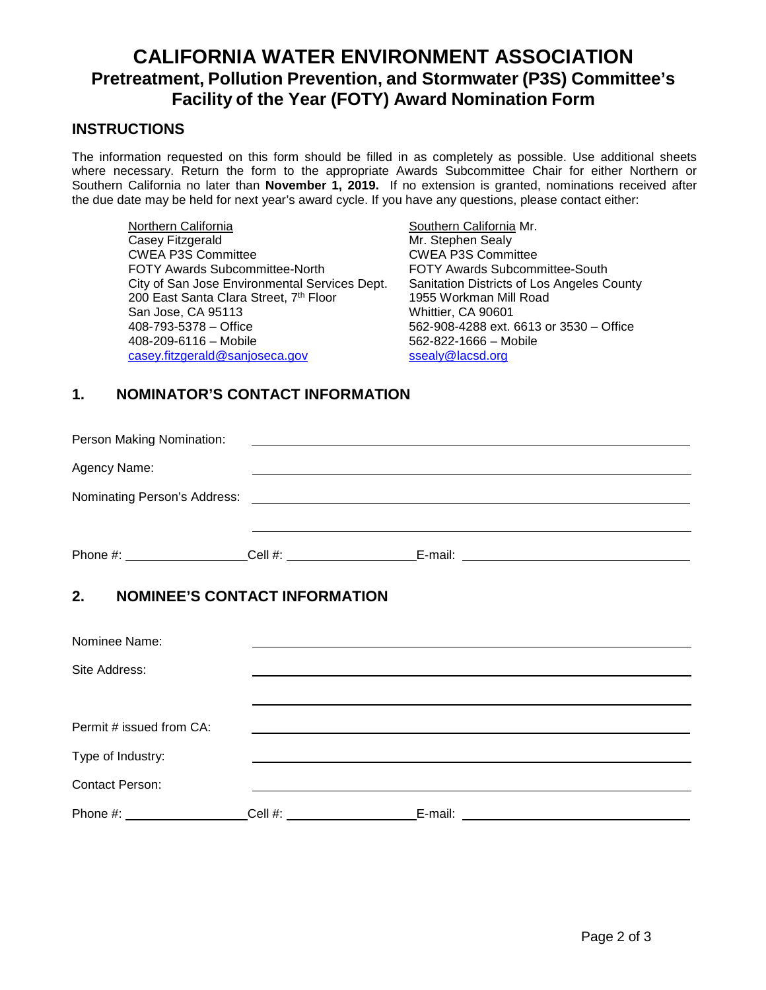# **CALIFORNIA WATER ENVIRONMENT ASSOCIATION Pretreatment, Pollution Prevention, and Stormwater (P3S) Committee's Facility of the Year (FOTY) Award Nomination Form**

### **INSTRUCTIONS**

The information requested on this form should be filled in as completely as possible. Use additional sheets where necessary. Return the form to the appropriate Awards Subcommittee Chair for either Northern or Southern California no later than **November 1, 2019.** If no extension is granted, nominations received after the due date may be held for next year's award cycle. If you have any questions, please contact either:

Northern California **Northern California** Mr. Casey Fitzgerald Mr. Stephen Sealy CWEA P3S Committee<br>FOTY Awards Subcommittee-North City of San Jose Environmental Services Dept. Sanitation Districts of Los Angeles County<br>200 East Santa Clara Street. 7<sup>th</sup> Floor 1955 Workman Mill Road 200 East Santa Clara Street, 7<sup>th</sup> Floor San Jose, CA 95113 Whittier, CA 90601 408-793-5378 – Office 562-908-4288 ext. 6613 or 3530 – Office [casey.fitzgerald@sanjoseca.gov](mailto:casey.fitzgerald@sanjoseca.gov)

FOTY Awards Subcommittee-South  $562-822-1666 - \text{Mobile}$ <br>ssealy@lacsd.org

## **1. NOMINATOR'S CONTACT INFORMATION**

| Person Making Nomination:                                                                                                    | <u> Alexandria de la contrada de la contrada de la contrada de la contrada de la contrada de la contrada de la c</u> |  |
|------------------------------------------------------------------------------------------------------------------------------|----------------------------------------------------------------------------------------------------------------------|--|
| Agency Name:                                                                                                                 |                                                                                                                      |  |
| Nominating Person's Address: <u>contract the contract of the contract of the contract of the contract of the contract of</u> |                                                                                                                      |  |
|                                                                                                                              |                                                                                                                      |  |
| Phone #: $\sqrt{ }$                                                                                                          | Cell #: $\qquad \qquad \qquad$                                                                                       |  |

# **2. NOMINEE'S CONTACT INFORMATION**

| Nominee Name:            |         |         |
|--------------------------|---------|---------|
| Site Address:            |         |         |
|                          |         |         |
| Permit # issued from CA: |         |         |
| Type of Industry:        |         |         |
| <b>Contact Person:</b>   |         |         |
| Phone #:                 | Cell #: | E-mail: |